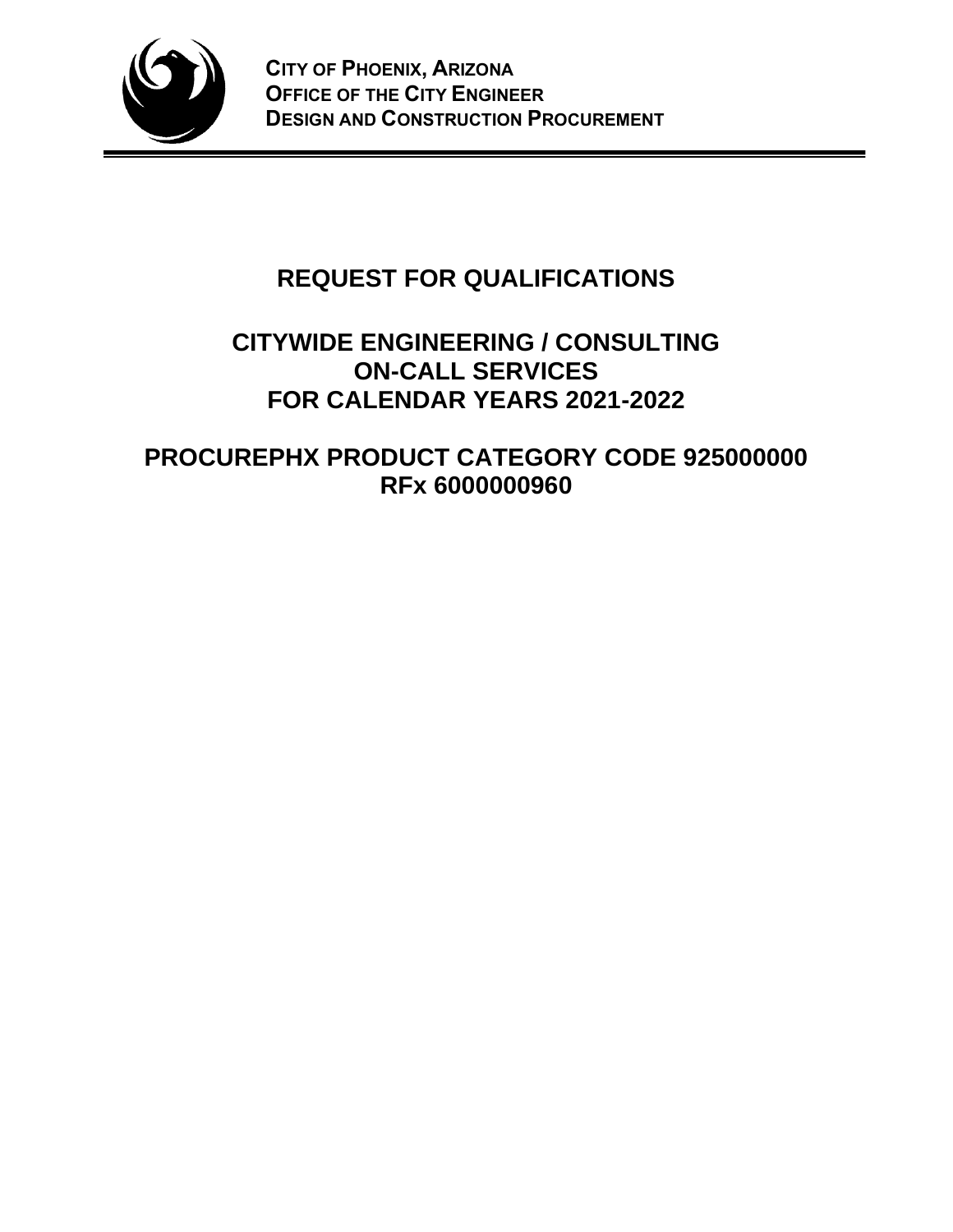

# **REQUEST FOR QUALIFICATIONS**

# **CITYWIDE ENGINEERING / CONSULTING ON-CALL SERVICES FOR CALENDAR YEARS 2021-2022**

**PROCUREPHX PRODUCT CATEGORY CODE 925000000 RFx 6000000960**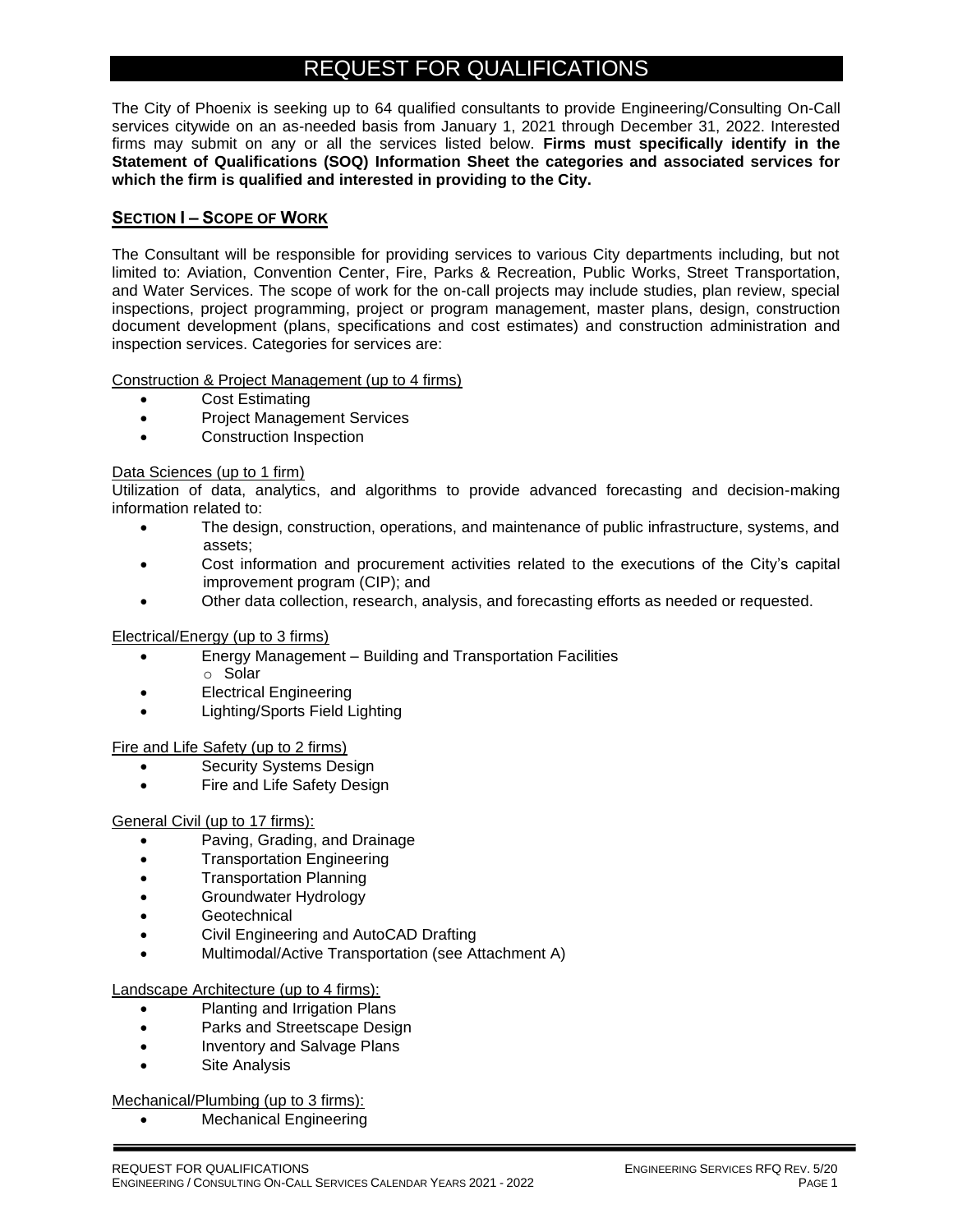## REQUEST FOR QUALIFICATIONS

The City of Phoenix is seeking up to 64 qualified consultants to provide Engineering/Consulting On-Call services citywide on an as-needed basis from January 1, 2021 through December 31, 2022. Interested firms may submit on any or all the services listed below. **Firms must specifically identify in the Statement of Qualifications (SOQ) Information Sheet the categories and associated services for which the firm is qualified and interested in providing to the City.**

## **SECTION I – SCOPE OF WORK**

The Consultant will be responsible for providing services to various City departments including, but not limited to: Aviation, Convention Center, Fire, Parks & Recreation, Public Works, Street Transportation, and Water Services. The scope of work for the on-call projects may include studies, plan review, special inspections, project programming, project or program management, master plans, design, construction document development (plans, specifications and cost estimates) and construction administration and inspection services. Categories for services are:

Construction & Project Management (up to 4 firms)

- Cost Estimating
- Project Management Services
- Construction Inspection

#### Data Sciences (up to 1 firm)

Utilization of data, analytics, and algorithms to provide advanced forecasting and decision-making information related to:

- The design, construction, operations, and maintenance of public infrastructure, systems, and assets;
- Cost information and procurement activities related to the executions of the City's capital improvement program (CIP); and
- Other data collection, research, analysis, and forecasting efforts as needed or requested.

## Electrical/Energy (up to 3 firms)

- Energy Management Building and Transportation Facilities o Solar
- Electrical Engineering
- Lighting/Sports Field Lighting

#### Fire and Life Safety (up to 2 firms)

- Security Systems Design
- Fire and Life Safety Design

## General Civil (up to 17 firms):

- Paving, Grading, and Drainage
- Transportation Engineering
- Transportation Planning
- Groundwater Hydrology
- Geotechnical
- Civil Engineering and AutoCAD Drafting
- Multimodal/Active Transportation (see Attachment A)

#### Landscape Architecture (up to 4 firms):

- Planting and Irrigation Plans
- Parks and Streetscape Design
- Inventory and Salvage Plans
- Site Analysis

## Mechanical/Plumbing (up to 3 firms):

• Mechanical Engineering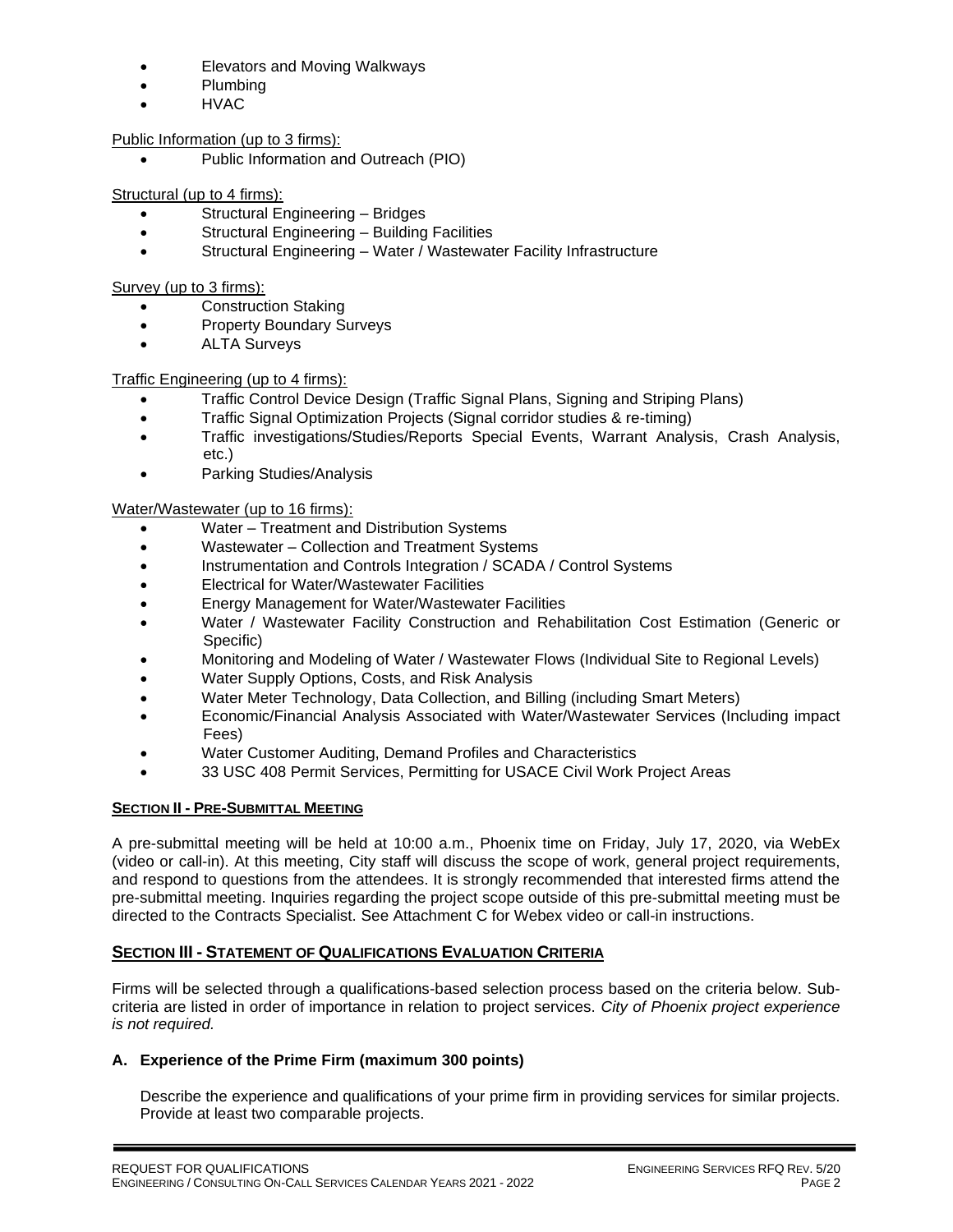- Elevators and Moving Walkways
- Plumbing
- HVAC

Public Information (up to 3 firms):

• Public Information and Outreach (PIO)

## Structural (up to 4 firms):

- Structural Engineering Bridges
- Structural Engineering Building Facilities
- Structural Engineering Water / Wastewater Facility Infrastructure

## Survey (up to 3 firms):

- Construction Staking
- Property Boundary Surveys
- **ALTA Surveys**

## Traffic Engineering (up to 4 firms):

- Traffic Control Device Design (Traffic Signal Plans, Signing and Striping Plans)
- Traffic Signal Optimization Projects (Signal corridor studies & re-timing)
- Traffic investigations/Studies/Reports Special Events, Warrant Analysis, Crash Analysis, etc.)
- Parking Studies/Analysis

## Water/Wastewater (up to 16 firms):

- Water Treatment and Distribution Systems
- Wastewater Collection and Treatment Systems
- Instrumentation and Controls Integration / SCADA / Control Systems
- Electrical for Water/Wastewater Facilities
- Energy Management for Water/Wastewater Facilities
- Water / Wastewater Facility Construction and Rehabilitation Cost Estimation (Generic or Specific)
- Monitoring and Modeling of Water / Wastewater Flows (Individual Site to Regional Levels)
- Water Supply Options, Costs, and Risk Analysis
- Water Meter Technology, Data Collection, and Billing (including Smart Meters)
- Economic/Financial Analysis Associated with Water/Wastewater Services (Including impact Fees)
- Water Customer Auditing, Demand Profiles and Characteristics
- 33 USC 408 Permit Services, Permitting for USACE Civil Work Project Areas

## **SECTION II - PRE-SUBMITTAL MEETING**

A pre-submittal meeting will be held at 10:00 a.m., Phoenix time on Friday, July 17, 2020, via WebEx (video or call-in). At this meeting, City staff will discuss the scope of work, general project requirements, and respond to questions from the attendees. It is strongly recommended that interested firms attend the pre-submittal meeting. Inquiries regarding the project scope outside of this pre-submittal meeting must be directed to the Contracts Specialist. See Attachment C for Webex video or call-in instructions.

## **SECTION III - STATEMENT OF QUALIFICATIONS EVALUATION CRITERIA**

Firms will be selected through a qualifications-based selection process based on the criteria below. Subcriteria are listed in order of importance in relation to project services. *City of Phoenix project experience is not required.*

## **A. Experience of the Prime Firm (maximum 300 points)**

Describe the experience and qualifications of your prime firm in providing services for similar projects. Provide at least two comparable projects.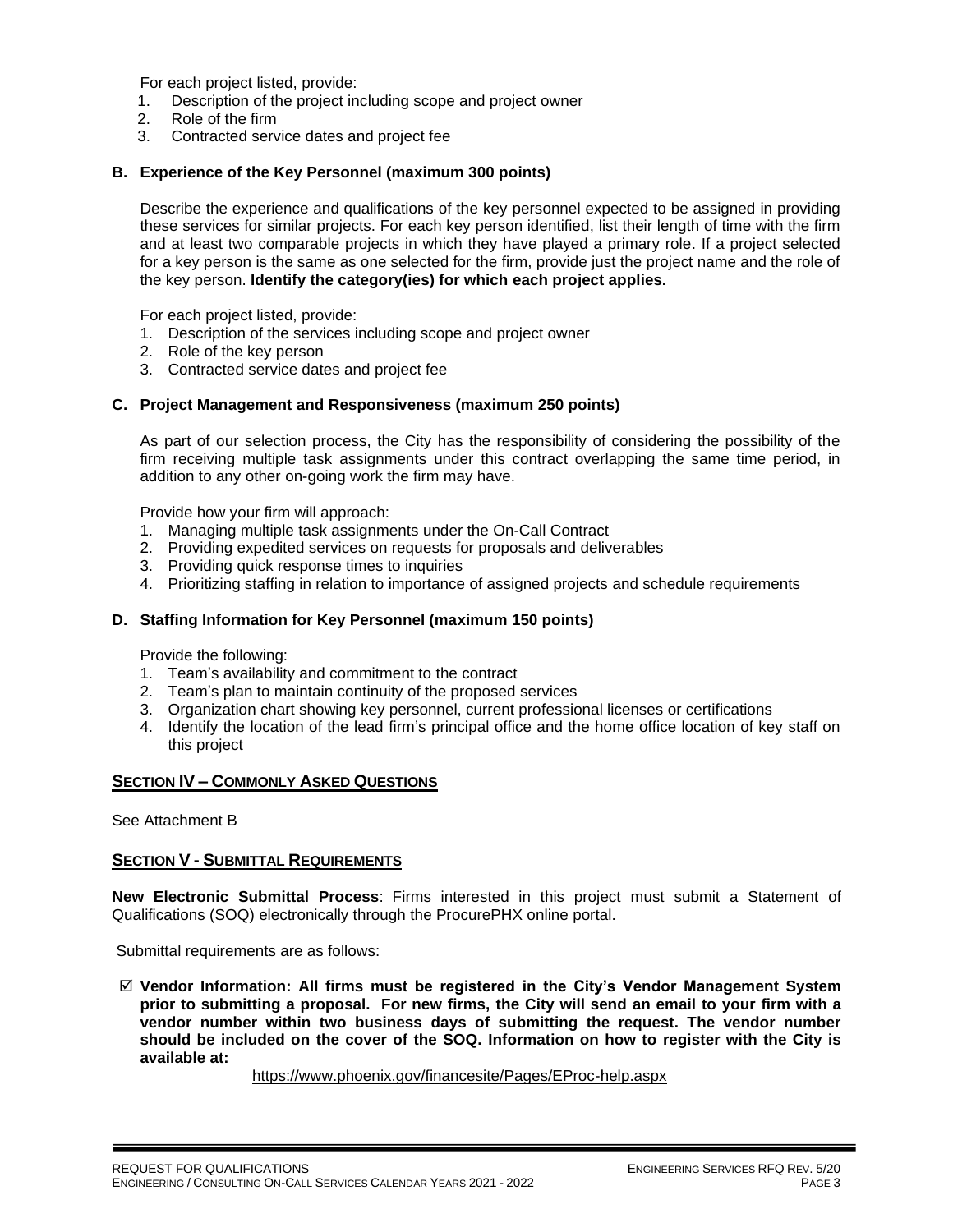For each project listed, provide:

- 1. Description of the project including scope and project owner
- 2. Role of the firm
- 3. Contracted service dates and project fee

#### **B. Experience of the Key Personnel (maximum 300 points)**

Describe the experience and qualifications of the key personnel expected to be assigned in providing these services for similar projects. For each key person identified, list their length of time with the firm and at least two comparable projects in which they have played a primary role. If a project selected for a key person is the same as one selected for the firm, provide just the project name and the role of the key person. **Identify the category(ies) for which each project applies.**

For each project listed, provide:

- 1. Description of the services including scope and project owner
- 2. Role of the key person
- 3. Contracted service dates and project fee

#### **C. Project Management and Responsiveness (maximum 250 points)**

As part of our selection process, the City has the responsibility of considering the possibility of the firm receiving multiple task assignments under this contract overlapping the same time period, in addition to any other on-going work the firm may have.

Provide how your firm will approach:

- 1. Managing multiple task assignments under the On-Call Contract
- 2. Providing expedited services on requests for proposals and deliverables
- 3. Providing quick response times to inquiries
- 4. Prioritizing staffing in relation to importance of assigned projects and schedule requirements

#### **D. Staffing Information for Key Personnel (maximum 150 points)**

Provide the following:

- 1. Team's availability and commitment to the contract
- 2. Team's plan to maintain continuity of the proposed services
- 3. Organization chart showing key personnel, current professional licenses or certifications
- 4. Identify the location of the lead firm's principal office and the home office location of key staff on this project

#### **SECTION IV – COMMONLY ASKED QUESTIONS**

See Attachment B

#### **SECTION V - SUBMITTAL REQUIREMENTS**

**New Electronic Submittal Process**: Firms interested in this project must submit a Statement of Qualifications (SOQ) electronically through the ProcurePHX online portal.

Submittal requirements are as follows:

 **Vendor Information: All firms must be registered in the City's Vendor Management System prior to submitting a proposal. For new firms, the City will send an email to your firm with a vendor number within two business days of submitting the request. The vendor number should be included on the cover of the SOQ. Information on how to register with the City is available at:** 

#### <https://www.phoenix.gov/financesite/Pages/EProc-help.aspx>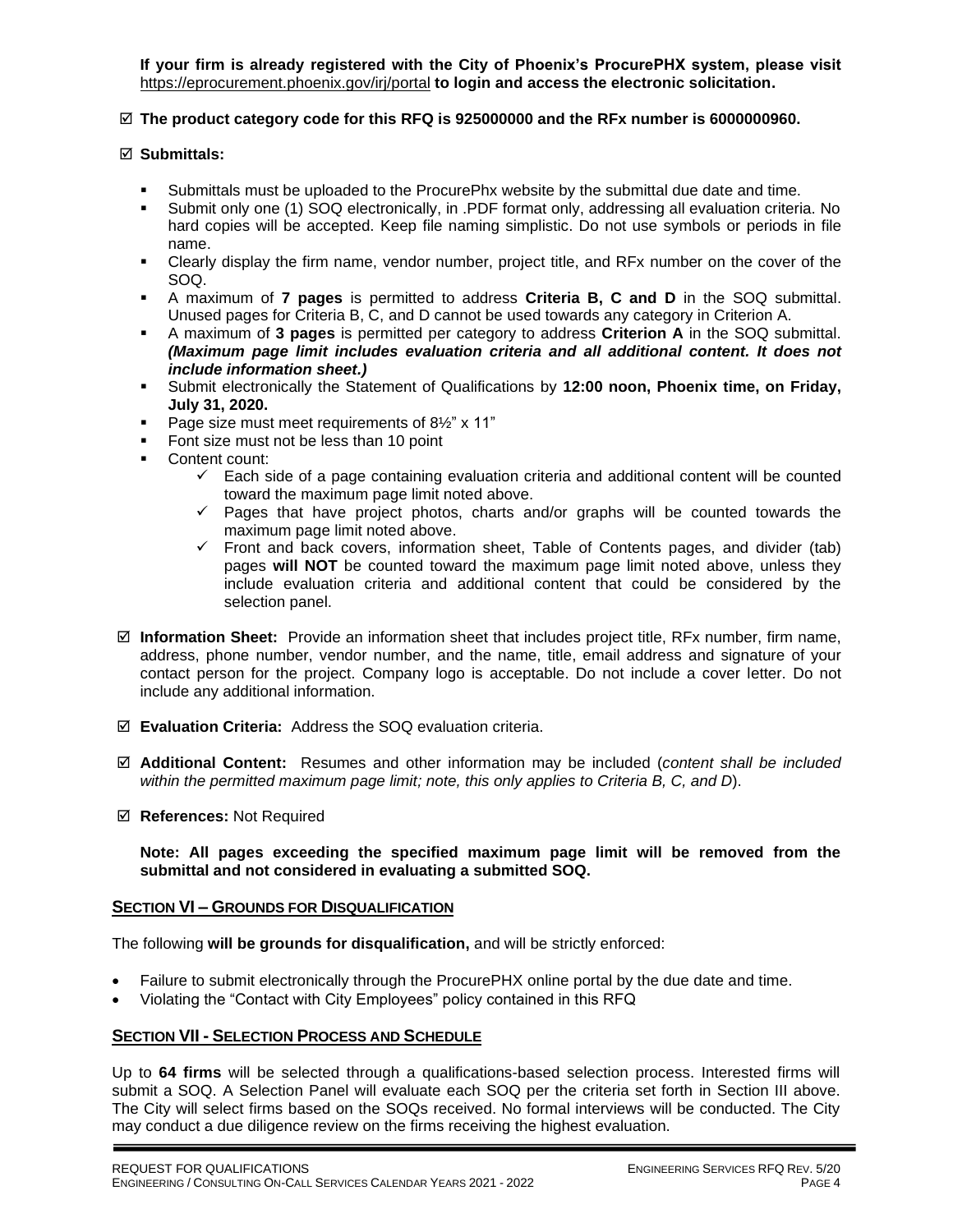**If your firm is already registered with the City of Phoenix's ProcurePHX system, please visit**  <https://eprocurement.phoenix.gov/irj/portal> **to login and access the electronic solicitation.**

## **The product category code for this RFQ is 925000000 and the RFx number is 6000000960.**

#### **Submittals:**

- Submittals must be uploaded to the ProcurePhx website by the submittal due date and time.
- Submit only one (1) SOQ electronically, in .PDF format only, addressing all evaluation criteria. No hard copies will be accepted. Keep file naming simplistic. Do not use symbols or periods in file name.
- Clearly display the firm name, vendor number, project title, and RFx number on the cover of the SOQ.
- A maximum of **7 pages** is permitted to address **Criteria B, C and D** in the SOQ submittal. Unused pages for Criteria B, C, and D cannot be used towards any category in Criterion A.
- A maximum of **3 pages** is permitted per category to address **Criterion A** in the SOQ submittal. *(Maximum page limit includes evaluation criteria and all additional content. It does not include information sheet.)*
- Submit electronically the Statement of Qualifications by **12:00 noon, Phoenix time, on Friday, July 31, 2020.**
- Page size must meet requirements of 8<sup>1/2</sup> x 11<sup>"</sup>
- Font size must not be less than 10 point
- Content count:
	- $\checkmark$  Each side of a page containing evaluation criteria and additional content will be counted toward the maximum page limit noted above.
	- ✓ Pages that have project photos, charts and/or graphs will be counted towards the maximum page limit noted above.
	- ✓ Front and back covers, information sheet, Table of Contents pages, and divider (tab) pages **will NOT** be counted toward the maximum page limit noted above, unless they include evaluation criteria and additional content that could be considered by the selection panel.
- **Information Sheet:** Provide an information sheet that includes project title, RFx number, firm name, address, phone number, vendor number, and the name, title, email address and signature of your contact person for the project. Company logo is acceptable. Do not include a cover letter. Do not include any additional information.
- **Evaluation Criteria:** Address the SOQ evaluation criteria.
- **Additional Content:** Resumes and other information may be included (*content shall be included within the permitted maximum page limit; note, this only applies to Criteria B, C, and D*).
- **References:** Not Required

#### **Note: All pages exceeding the specified maximum page limit will be removed from the submittal and not considered in evaluating a submitted SOQ.**

## **SECTION VI – GROUNDS FOR DISQUALIFICATION**

The following **will be grounds for disqualification,** and will be strictly enforced:

- Failure to submit electronically through the ProcurePHX online portal by the due date and time.
- Violating the "Contact with City Employees" policy contained in this RFQ

#### **SECTION VII - SELECTION PROCESS AND SCHEDULE**

Up to **64 firms** will be selected through a qualifications-based selection process. Interested firms will submit a SOQ. A Selection Panel will evaluate each SOQ per the criteria set forth in Section III above. The City will select firms based on the SOQs received. No formal interviews will be conducted. The City may conduct a due diligence review on the firms receiving the highest evaluation.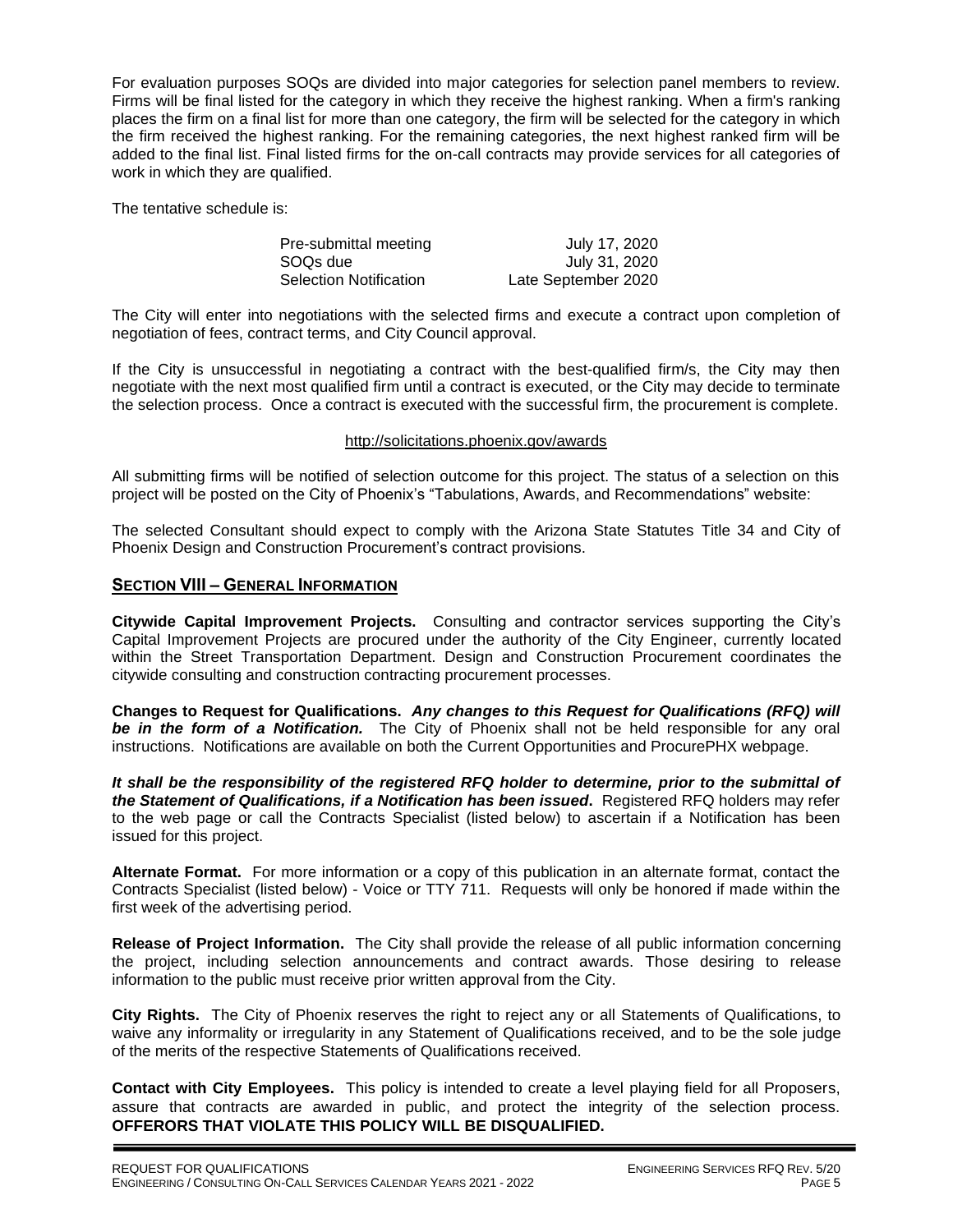For evaluation purposes SOQs are divided into major categories for selection panel members to review. Firms will be final listed for the category in which they receive the highest ranking. When a firm's ranking places the firm on a final list for more than one category, the firm will be selected for the category in which the firm received the highest ranking. For the remaining categories, the next highest ranked firm will be added to the final list. Final listed firms for the on-call contracts may provide services for all categories of work in which they are qualified.

The tentative schedule is:

| Pre-submittal meeting         | July 17, 2020       |
|-------------------------------|---------------------|
| SOQs due                      | July 31, 2020       |
| <b>Selection Notification</b> | Late September 2020 |

The City will enter into negotiations with the selected firms and execute a contract upon completion of negotiation of fees, contract terms, and City Council approval.

If the City is unsuccessful in negotiating a contract with the best-qualified firm/s, the City may then negotiate with the next most qualified firm until a contract is executed, or the City may decide to terminate the selection process. Once a contract is executed with the successful firm, the procurement is complete.

#### http://solicitations.phoenix.gov/awards

All submitting firms will be notified of selection outcome for this project. The status of a selection on this project will be posted on the City of Phoenix's "Tabulations, Awards, and Recommendations" website:

The selected Consultant should expect to comply with the Arizona State Statutes Title 34 and City of Phoenix Design and Construction Procurement's contract provisions.

#### **SECTION VIII – GENERAL INFORMATION**

**Citywide Capital Improvement Projects.** Consulting and contractor services supporting the City's Capital Improvement Projects are procured under the authority of the City Engineer, currently located within the Street Transportation Department. Design and Construction Procurement coordinates the citywide consulting and construction contracting procurement processes.

**Changes to Request for Qualifications.** *Any changes to this Request for Qualifications (RFQ) will be in the form of a Notification.* The City of Phoenix shall not be held responsible for any oral instructions. Notifications are available on both the Current Opportunities and ProcurePHX webpage.

*It shall be the responsibility of the registered RFQ holder to determine, prior to the submittal of the Statement of Qualifications, if a Notification has been issued***.** Registered RFQ holders may refer to the web page or call the Contracts Specialist (listed below) to ascertain if a Notification has been issued for this project.

**Alternate Format.** For more information or a copy of this publication in an alternate format, contact the Contracts Specialist (listed below) - Voice or TTY 711. Requests will only be honored if made within the first week of the advertising period.

**Release of Project Information.** The City shall provide the release of all public information concerning the project, including selection announcements and contract awards. Those desiring to release information to the public must receive prior written approval from the City.

**City Rights.** The City of Phoenix reserves the right to reject any or all Statements of Qualifications, to waive any informality or irregularity in any Statement of Qualifications received, and to be the sole judge of the merits of the respective Statements of Qualifications received.

**Contact with City Employees.** This policy is intended to create a level playing field for all Proposers, assure that contracts are awarded in public, and protect the integrity of the selection process. **OFFERORS THAT VIOLATE THIS POLICY WILL BE DISQUALIFIED.**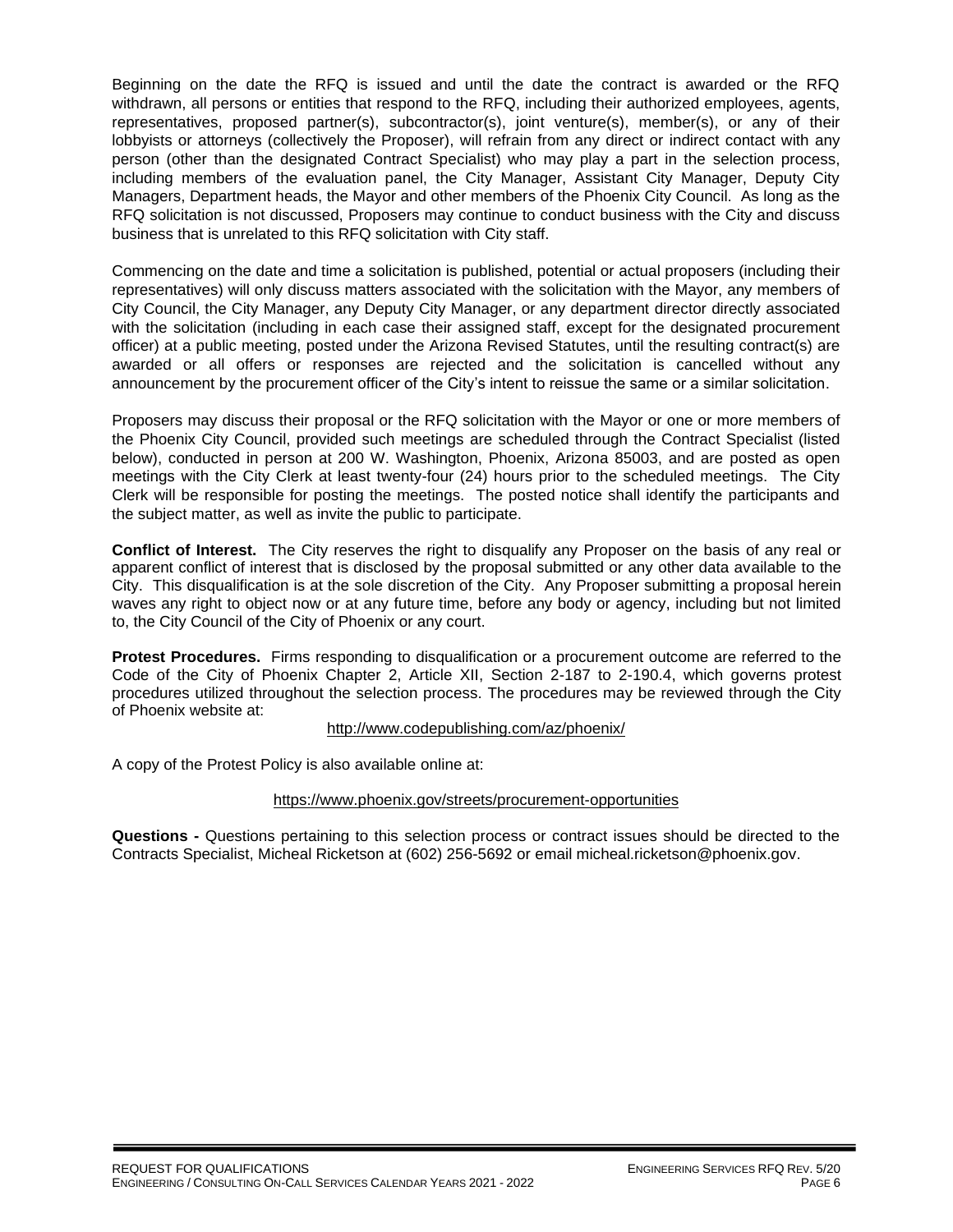Beginning on the date the RFQ is issued and until the date the contract is awarded or the RFQ withdrawn, all persons or entities that respond to the RFQ, including their authorized employees, agents, representatives, proposed partner(s), subcontractor(s), joint venture(s), member(s), or any of their lobbyists or attorneys (collectively the Proposer), will refrain from any direct or indirect contact with any person (other than the designated Contract Specialist) who may play a part in the selection process, including members of the evaluation panel, the City Manager, Assistant City Manager, Deputy City Managers, Department heads, the Mayor and other members of the Phoenix City Council. As long as the RFQ solicitation is not discussed, Proposers may continue to conduct business with the City and discuss business that is unrelated to this RFQ solicitation with City staff.

Commencing on the date and time a solicitation is published, potential or actual proposers (including their representatives) will only discuss matters associated with the solicitation with the Mayor, any members of City Council, the City Manager, any Deputy City Manager, or any department director directly associated with the solicitation (including in each case their assigned staff, except for the designated procurement officer) at a public meeting, posted under the Arizona Revised Statutes, until the resulting contract(s) are awarded or all offers or responses are rejected and the solicitation is cancelled without any announcement by the procurement officer of the City's intent to reissue the same or a similar solicitation.

Proposers may discuss their proposal or the RFQ solicitation with the Mayor or one or more members of the Phoenix City Council, provided such meetings are scheduled through the Contract Specialist (listed below), conducted in person at 200 W. Washington, Phoenix, Arizona 85003, and are posted as open meetings with the City Clerk at least twenty-four (24) hours prior to the scheduled meetings. The City Clerk will be responsible for posting the meetings. The posted notice shall identify the participants and the subject matter, as well as invite the public to participate.

**Conflict of Interest.** The City reserves the right to disqualify any Proposer on the basis of any real or apparent conflict of interest that is disclosed by the proposal submitted or any other data available to the City. This disqualification is at the sole discretion of the City. Any Proposer submitting a proposal herein waves any right to object now or at any future time, before any body or agency, including but not limited to, the City Council of the City of Phoenix or any court.

**Protest Procedures.** Firms responding to disqualification or a procurement outcome are referred to the Code of the City of Phoenix Chapter 2, Article XII, Section 2-187 to 2-190.4, which governs protest procedures utilized throughout the selection process. The procedures may be reviewed through the City of Phoenix website at:

## <http://www.codepublishing.com/az/phoenix/>

A copy of the Protest Policy is also available online at:

## <https://www.phoenix.gov/streets/procurement-opportunities>

**Questions -** Questions pertaining to this selection process or contract issues should be directed to the Contracts Specialist, Micheal Ricketson at (602) 256-5692 or email micheal.ricketson@phoenix.gov.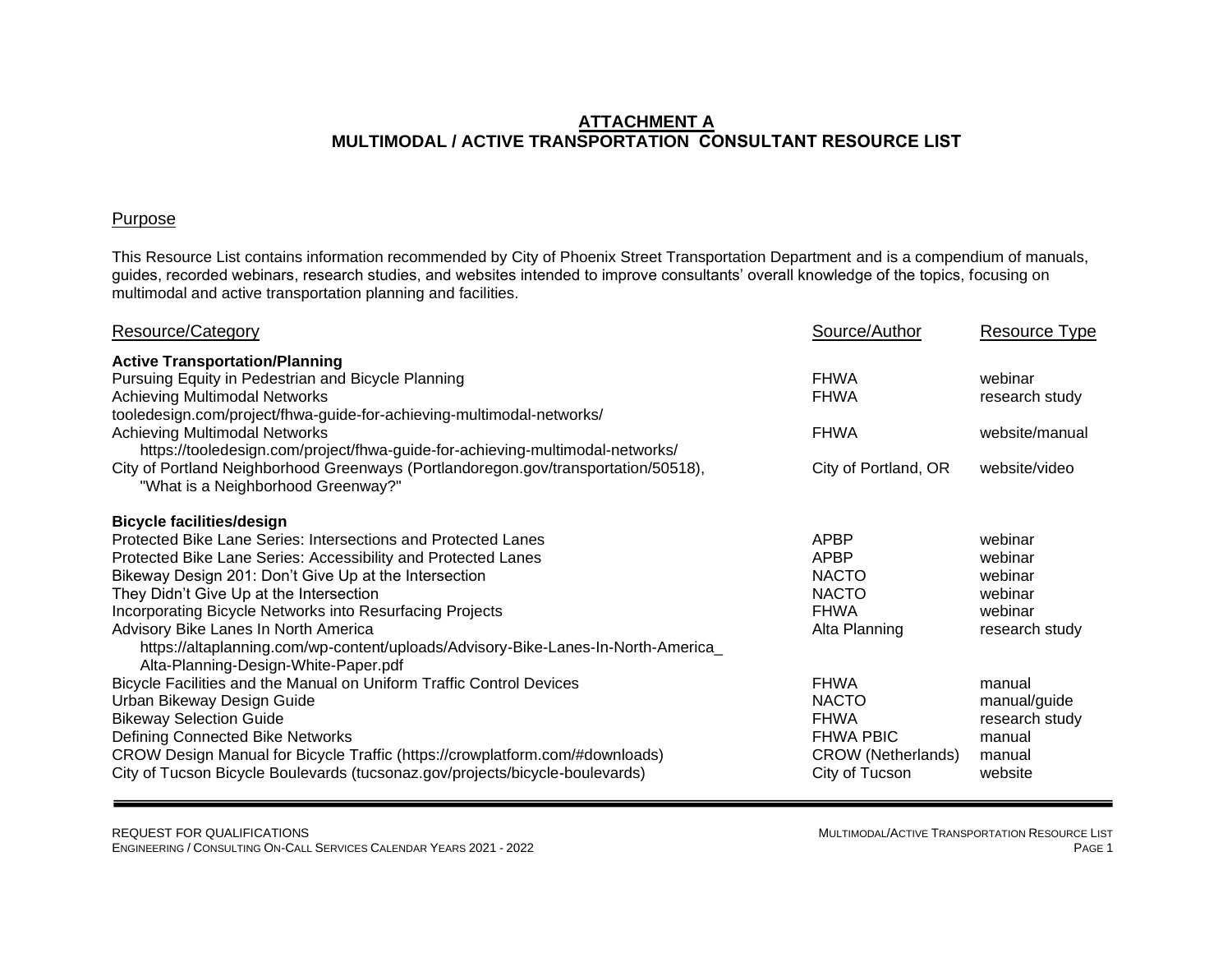## **ATTACHMENT A MULTIMODAL / ACTIVE TRANSPORTATION CONSULTANT RESOURCE LIST**

## **Purpose**

This Resource List contains information recommended by City of Phoenix Street Transportation Department and is a compendium of manuals, guides, recorded webinars, research studies, and websites intended to improve consultants' overall knowledge of the topics, focusing on multimodal and active transportation planning and facilities.

| Resource/Category                                                                  | Source/Author             | <b>Resource Type</b> |
|------------------------------------------------------------------------------------|---------------------------|----------------------|
| <b>Active Transportation/Planning</b>                                              |                           |                      |
| Pursuing Equity in Pedestrian and Bicycle Planning                                 | <b>FHWA</b>               | webinar              |
| <b>Achieving Multimodal Networks</b>                                               | <b>FHWA</b>               | research study       |
| tooledesign.com/project/fhwa-guide-for-achieving-multimodal-networks/              |                           |                      |
| <b>Achieving Multimodal Networks</b>                                               | <b>FHWA</b>               | website/manual       |
| https://tooledesign.com/project/fhwa-guide-for-achieving-multimodal-networks/      |                           |                      |
| City of Portland Neighborhood Greenways (Portlandoregon.gov/transportation/50518), | City of Portland, OR      | website/video        |
| "What is a Neighborhood Greenway?"                                                 |                           |                      |
| <b>Bicycle facilities/design</b>                                                   |                           |                      |
| Protected Bike Lane Series: Intersections and Protected Lanes                      | <b>APBP</b>               | webinar              |
| Protected Bike Lane Series: Accessibility and Protected Lanes                      | <b>APBP</b>               | webinar              |
| Bikeway Design 201: Don't Give Up at the Intersection                              | <b>NACTO</b>              | webinar              |
| They Didn't Give Up at the Intersection                                            | <b>NACTO</b>              | webinar              |
| Incorporating Bicycle Networks into Resurfacing Projects                           | <b>FHWA</b>               | webinar              |
| Advisory Bike Lanes In North America                                               | Alta Planning             | research study       |
| https://altaplanning.com/wp-content/uploads/Advisory-Bike-Lanes-In-North-America   |                           |                      |
| Alta-Planning-Design-White-Paper.pdf                                               |                           |                      |
| Bicycle Facilities and the Manual on Uniform Traffic Control Devices               | <b>FHWA</b>               | manual               |
| Urban Bikeway Design Guide                                                         | <b>NACTO</b>              | manual/guide         |
| <b>Bikeway Selection Guide</b>                                                     | <b>FHWA</b>               | research study       |
| Defining Connected Bike Networks                                                   | <b>FHWA PBIC</b>          | manual               |
| CROW Design Manual for Bicycle Traffic (https://crowplatform.com/#downloads)       | <b>CROW</b> (Netherlands) | manual               |
| City of Tucson Bicycle Boulevards (tucsonaz.gov/projects/bicycle-boulevards)       | City of Tucson            | website              |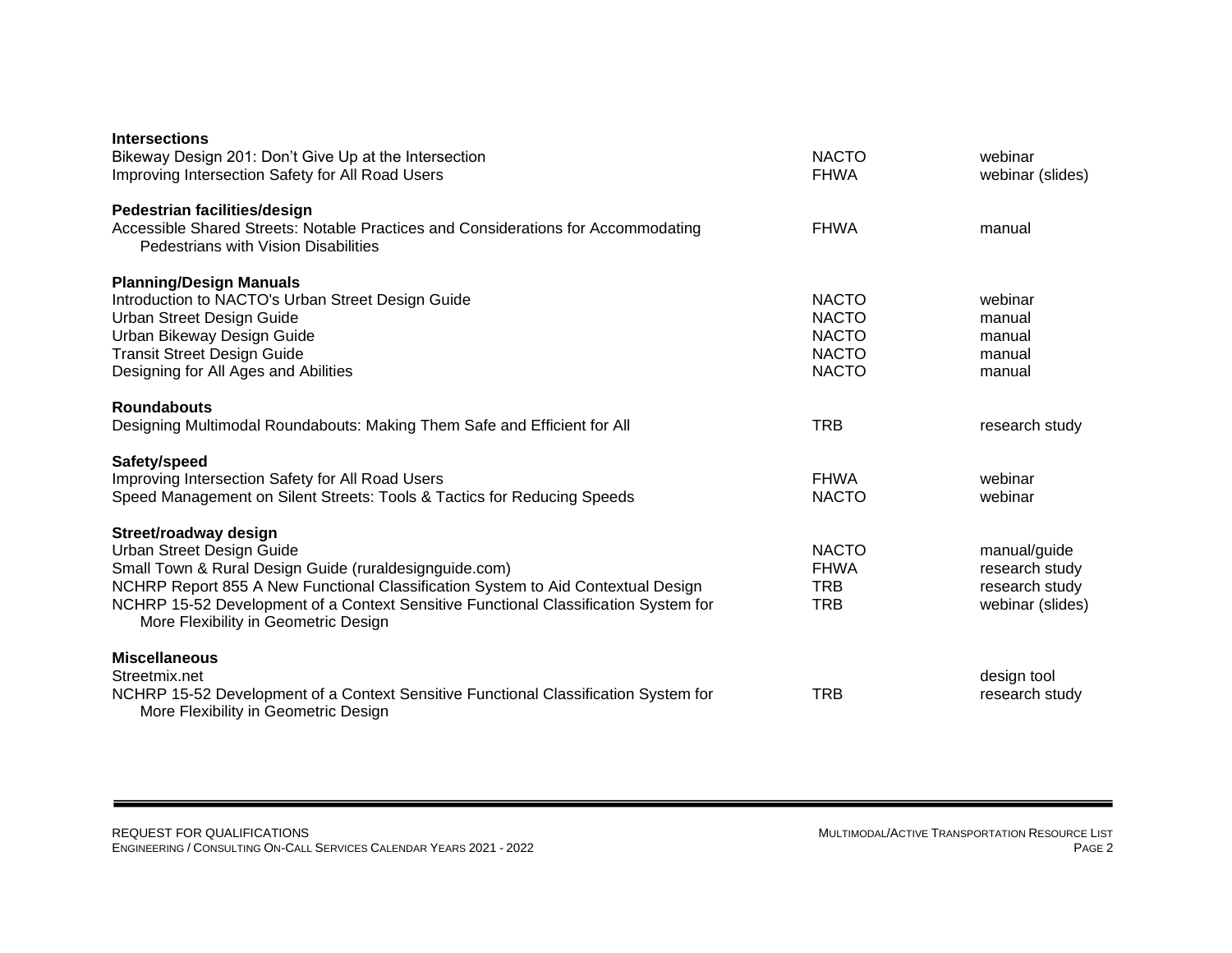| <b>NACTO</b> | webinar                       |
|--------------|-------------------------------|
| <b>FHWA</b>  | webinar (slides)              |
| <b>FHWA</b>  | manual                        |
| <b>NACTO</b> | webinar                       |
| <b>NACTO</b> | manual                        |
| <b>NACTO</b> | manual                        |
| <b>NACTO</b> | manual                        |
| <b>NACTO</b> | manual                        |
| <b>TRB</b>   | research study                |
| <b>FHWA</b>  | webinar                       |
| <b>NACTO</b> | webinar                       |
| <b>NACTO</b> | manual/guide                  |
| <b>FHWA</b>  | research study                |
| <b>TRB</b>   | research study                |
| <b>TRB</b>   | webinar (slides)              |
| <b>TRB</b>   | design tool<br>research study |
|              |                               |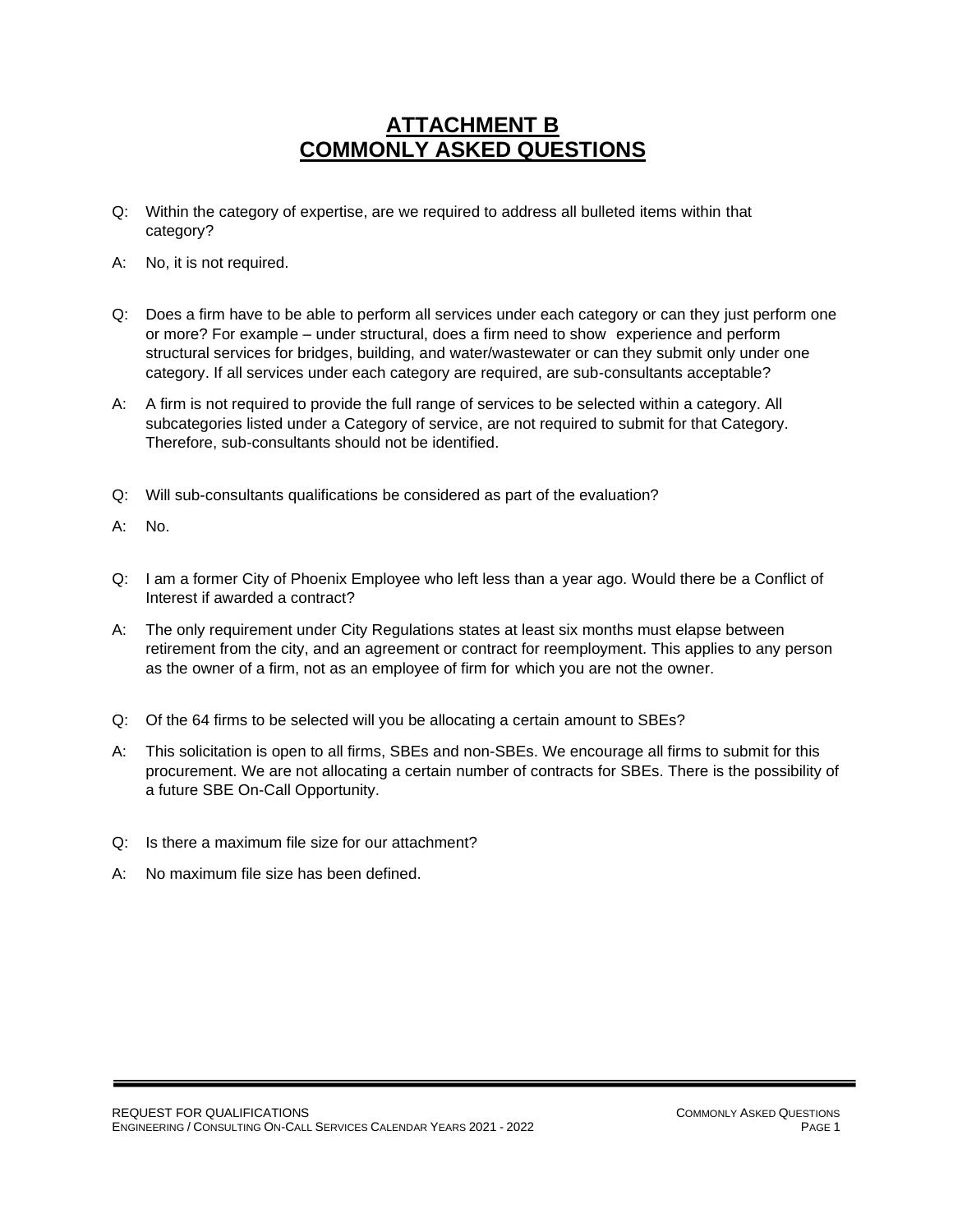# **ATTACHMENT B COMMONLY ASKED QUESTIONS**

- Q: Within the category of expertise, are we required to address all bulleted items within that category?
- A: No, it is not required.
- Q: Does a firm have to be able to perform all services under each category or can they just perform one or more? For example – under structural, does a firm need to show experience and perform structural services for bridges, building, and water/wastewater or can they submit only under one category. If all services under each category are required, are sub-consultants acceptable?
- A: A firm is not required to provide the full range of services to be selected within a category. All subcategories listed under a Category of service, are not required to submit for that Category. Therefore, sub-consultants should not be identified.
- Q: Will sub-consultants qualifications be considered as part of the evaluation?
- A: No.
- Q: I am a former City of Phoenix Employee who left less than a year ago. Would there be a Conflict of Interest if awarded a contract?
- A: The only requirement under City Regulations states at least six months must elapse between retirement from the city, and an agreement or contract for reemployment. This applies to any person as the owner of a firm, not as an employee of firm for which you are not the owner.
- Q: Of the 64 firms to be selected will you be allocating a certain amount to SBEs?
- A: This solicitation is open to all firms, SBEs and non-SBEs. We encourage all firms to submit for this procurement. We are not allocating a certain number of contracts for SBEs. There is the possibility of a future SBE On-Call Opportunity.
- Q: Is there a maximum file size for our attachment?
- A: No maximum file size has been defined.